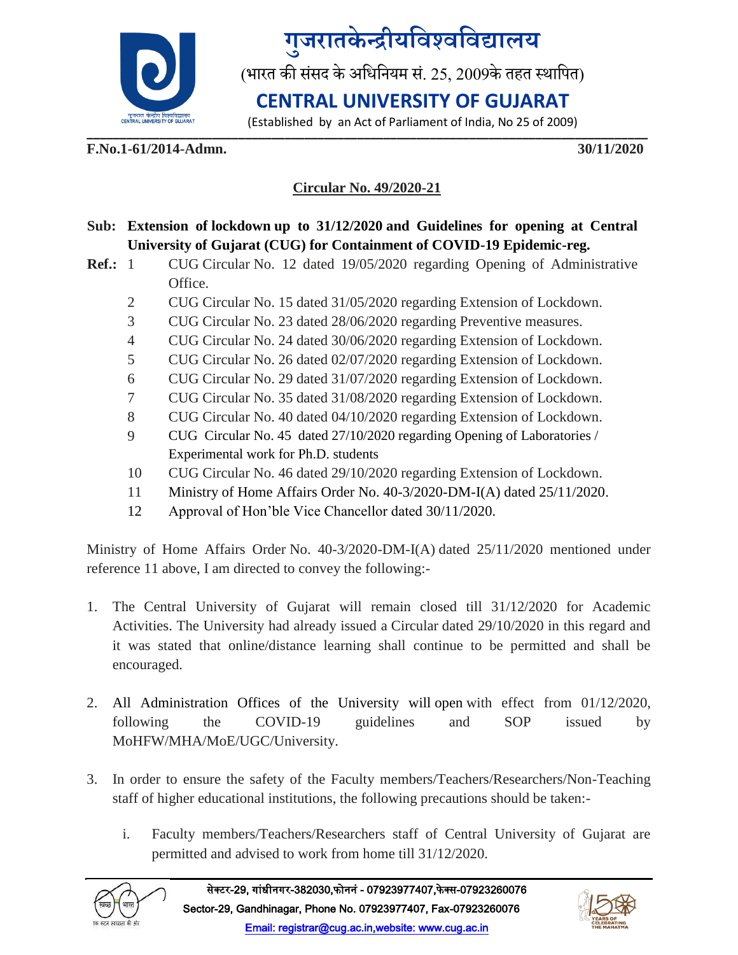

## <mark>गुजरातकेन्द्रीयविश्वविद्यालय</mark>

(भारत की संसद के अधिनियम सं. 25, 2009के तहत स्थापित)

## **CENTRAL UNIVERSITY OF GUJARAT**

**\_\_\_\_\_\_\_\_\_\_\_\_\_\_\_\_\_\_\_\_\_\_\_\_\_\_\_\_\_\_\_\_\_\_\_\_\_\_\_\_\_\_\_\_\_\_\_\_\_\_\_\_\_\_\_\_\_\_\_\_\_\_\_\_\_\_\_\_\_\_\_\_\_\_\_\_\_\_\_\_\_\_\_\_\_** (Established by an Act of Parliament of India, No 25 of 2009)

**F.No.1-61/2014-Admn. 30/11/2020**

### **Circular No. 49/2020-21**

### **Sub: Extension of lockdown up to 31/12/2020 and Guidelines for opening at Central University of Gujarat (CUG) for Containment of COVID-19 Epidemic-reg.**

- **Ref.:** 1 CUG Circular No. 12 dated 19/05/2020 regarding Opening of Administrative Office.
	- 2 CUG Circular No. 15 dated 31/05/2020 regarding Extension of Lockdown.
	- 3 CUG Circular No. 23 dated 28/06/2020 regarding Preventive measures.
	- 4 CUG Circular No. 24 dated 30/06/2020 regarding Extension of Lockdown.
	- 5 CUG Circular No. 26 dated 02/07/2020 regarding Extension of Lockdown.
	- 6 CUG Circular No. 29 dated 31/07/2020 regarding Extension of Lockdown.
	- 7 CUG Circular No. 35 dated 31/08/2020 regarding Extension of Lockdown.
	- 8 CUG Circular No. 40 dated 04/10/2020 regarding Extension of Lockdown.
	- 9 CUG Circular No. 45 dated 27/10/2020 regarding Opening of Laboratories / Experimental work for Ph.D. students
	- 10 CUG Circular No. 46 dated 29/10/2020 regarding Extension of Lockdown.
	- 11 Ministry of Home Affairs Order No. 40-3/2020-DM-I(A) dated 25/11/2020.
	- 12 Approval of Hon'ble Vice Chancellor dated 30/11/2020.

Ministry of Home Affairs Order No. 40-3/2020-DM-I(A) dated 25/11/2020 mentioned under reference 11 above, I am directed to convey the following:-

- 1. The Central University of Gujarat will remain closed till 31/12/2020 for Academic Activities. The University had already issued a Circular dated 29/10/2020 in this regard and it was stated that online/distance learning shall continue to be permitted and shall be encouraged.
- 2. All Administration Offices of the University will open with effect from 01/12/2020, following the COVID-19 guidelines and SOP issued by MoHFW/MHA/MoE/UGC/University.
- 3. In order to ensure the safety of the Faculty members/Teachers/Researchers/Non-Teaching staff of higher educational institutions, the following precautions should be taken:
	- i. Faculty members/Teachers/Researchers staff of Central University of Gujarat are permitted and advised to work from home till 31/12/2020.



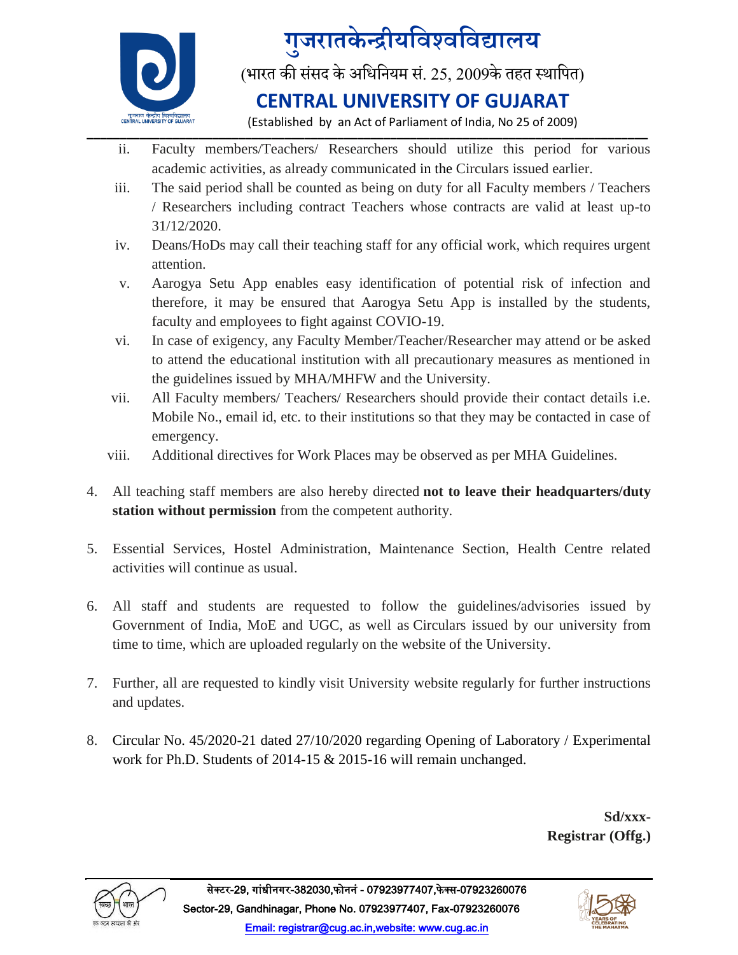

# <mark>गुजरातकेन्द्रीयविश्वविद्यालय</mark>

(भारत की संसद के अधिनियम सं. 25, 2009के तहत स्थापित)

### **CENTRAL UNIVERSITY OF GUJARAT**

**\_\_\_\_\_\_\_\_\_\_\_\_\_\_\_\_\_\_\_\_\_\_\_\_\_\_\_\_\_\_\_\_\_\_\_\_\_\_\_\_\_\_\_\_\_\_\_\_\_\_\_\_\_\_\_\_\_\_\_\_\_\_\_\_\_\_\_\_\_\_\_\_\_\_\_\_\_\_\_\_\_\_\_\_\_** (Established by an Act of Parliament of India, No 25 of 2009)

- ii. Faculty members/Teachers/ Researchers should utilize this period for various academic activities, as already communicated in the Circulars issued earlier.
- iii. The said period shall be counted as being on duty for all Faculty members / Teachers / Researchers including contract Teachers whose contracts are valid at least up-to 31/12/2020.
- iv. Deans/HoDs may call their teaching staff for any official work, which requires urgent attention.
- v. Aarogya Setu App enables easy identification of potential risk of infection and therefore, it may be ensured that Aarogya Setu App is installed by the students, faculty and employees to fight against COVIO-19.
- vi. In case of exigency, any Faculty Member/Teacher/Researcher may attend or be asked to attend the educational institution with all precautionary measures as mentioned in the guidelines issued by MHA/MHFW and the University.
- vii. All Faculty members/ Teachers/ Researchers should provide their contact details i.e. Mobile No., email id, etc. to their institutions so that they may be contacted in case of emergency.
- viii. Additional directives for Work Places may be observed as per MHA Guidelines.
- 4. All teaching staff members are also hereby directed **not to leave their headquarters/duty station without permission** from the competent authority.
- 5. Essential Services, Hostel Administration, Maintenance Section, Health Centre related activities will continue as usual.
- 6. All staff and students are requested to follow the guidelines/advisories issued by Government of India, MoE and UGC, as well as Circulars issued by our university from time to time, which are uploaded regularly on the website of the University.
- 7. Further, all are requested to kindly visit University website regularly for further instructions and updates.
- 8. Circular No. 45/2020-21 dated 27/10/2020 regarding Opening of Laboratory / Experimental work for Ph.D. Students of 2014-15 & 2015-16 will remain unchanged.

**Sd/xxx-Registrar (Offg.)**